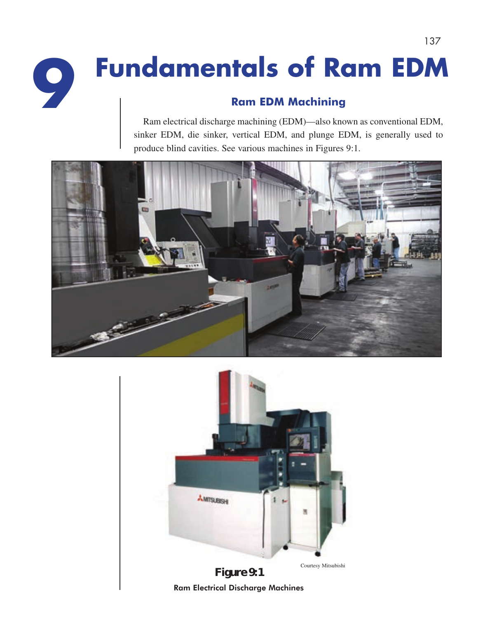# **Ram EDM Machining Fundamentals of Ram EDM 9**

Ram electrical discharge machining (EDM)—also known as conventional EDM, sinker EDM, die sinker, vertical EDM, and plunge EDM, is generally used to produce blind cavities. See various machines in Figures 9:1.

137



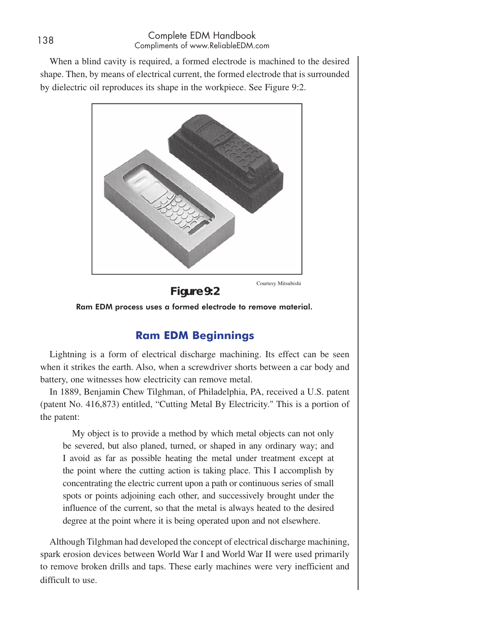When a blind cavity is required, a formed electrode is machined to the desired shape. Then, by means of electrical current, the formed electrode that is surrounded by dielectric oil reproduces its shape in the workpiece. See Figure 9:2.



**Figure 9:2**  Ram EDM process uses a formed electrode to remove material.

# **Ram EDM Beginnings**

Lightning is a form of electrical discharge machining. Its effect can be seen when it strikes the earth. Also, when a screwdriver shorts between a car body and battery, one witnesses how electricity can remove metal.

In 1889, Benjamin Chew Tilghman, of Philadelphia, PA, received a U.S. patent (patent No. 416,873) entitled, "Cutting Metal By Electricity." This is a portion of the patent:

My object is to provide a method by which metal objects can not only be severed, but also planed, turned, or shaped in any ordinary way; and I avoid as far as possible heating the metal under treatment except at the point where the cutting action is taking place. This I accomplish by concentrating the electric current upon a path or continuous series of small spots or points adjoining each other, and successively brought under the influence of the current, so that the metal is always heated to the desired degree at the point where it is being operated upon and not elsewhere.

Although Tilghman had developed the concept of electrical discharge machining, spark erosion devices between World War I and World War II were used primarily to remove broken drills and taps. These early machines were very inefficient and difficult to use.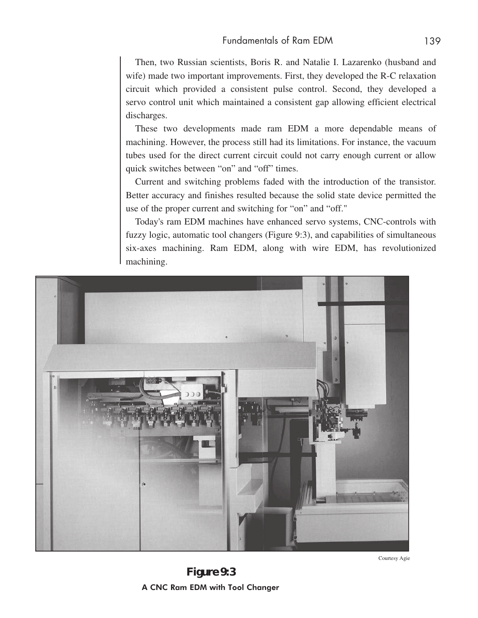Then, two Russian scientists, Boris R. and Natalie I. Lazarenko (husband and wife) made two important improvements. First, they developed the R-C relaxation circuit which provided a consistent pulse control. Second, they developed a servo control unit which maintained a consistent gap allowing efficient electrical discharges.

These two developments made ram EDM a more dependable means of machining. However, the process still had its limitations. For instance, the vacuum tubes used for the direct current circuit could not carry enough current or allow quick switches between "on" and "off" times.

Current and switching problems faded with the introduction of the transistor. Better accuracy and finishes resulted because the solid state device permitted the use of the proper current and switching for "on" and "off."

Today's ram EDM machines have enhanced servo systems, CNC-controls with fuzzy logic, automatic tool changers (Figure 9:3), and capabilities of simultaneous six-axes machining. Ram EDM, along with wire EDM, has revolutionized machining.



Courtesy Agie

**Figure 9:3** A CNC Ram EDM with Tool Changer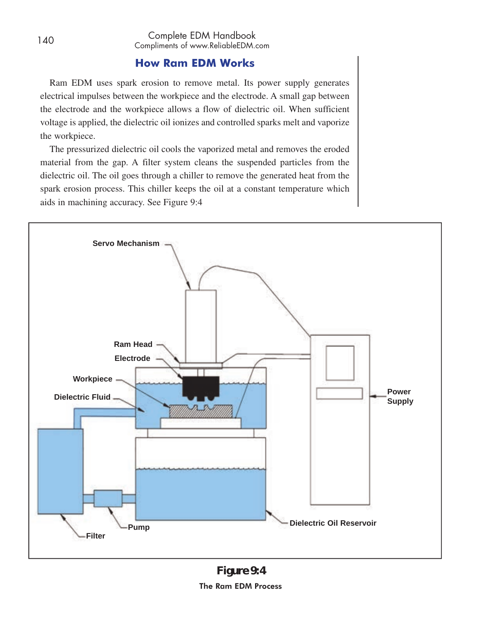### **How Ram EDM Works**

Ram EDM uses spark erosion to remove metal. Its power supply generates electrical impulses between the workpiece and the electrode. A small gap between the electrode and the workpiece allows a flow of dielectric oil. When sufficient voltage is applied, the dielectric oil ionizes and controlled sparks melt and vaporize the workpiece.

The pressurized dielectric oil cools the vaporized metal and removes the eroded material from the gap. A filter system cleans the suspended particles from the dielectric oil. The oil goes through a chiller to remove the generated heat from the spark erosion process. This chiller keeps the oil at a constant temperature which aids in machining accuracy. See Figure 9:4

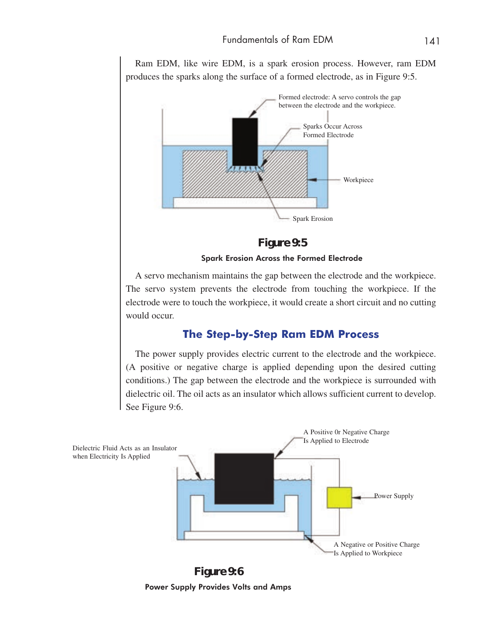Ram EDM, like wire EDM, is a spark erosion process. However, ram EDM produces the sparks along the surface of a formed electrode, as in Figure 9:5.



**Figure 9:5**

Spark Erosion Across the Formed Electrode

A servo mechanism maintains the gap between the electrode and the workpiece. The servo system prevents the electrode from touching the workpiece. If the electrode were to touch the workpiece, it would create a short circuit and no cutting would occur.

#### **The Step-by-Step Ram EDM Process**

The power supply provides electric current to the electrode and the workpiece. (A positive or negative charge is applied depending upon the desired cutting conditions.) The gap between the electrode and the workpiece is surrounded with dielectric oil. The oil acts as an insulator which allows sufficient current to develop. See Figure 9:6.



**Figure 9:6** Power Supply Provides Volts and Amps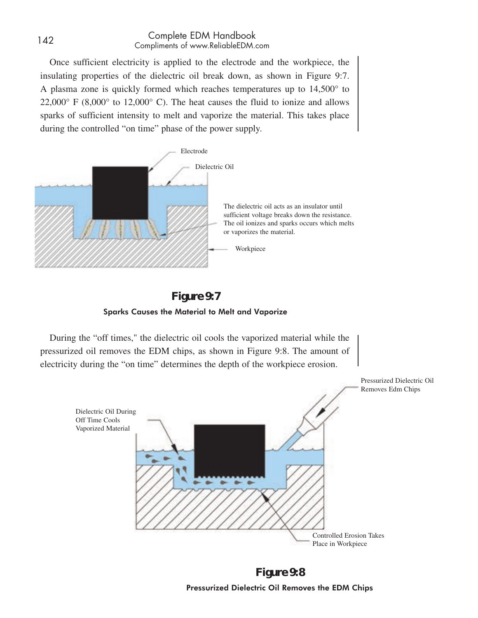#### <sup>142</sup> Complete EDM Handbook Compliments of www.ReliableEDM.com

Once sufficient electricity is applied to the electrode and the workpiece, the insulating properties of the dielectric oil break down, as shown in Figure 9:7. A plasma zone is quickly formed which reaches temperatures up to 14,500° to  $22,000^{\circ}$  F (8,000° to 12,000° C). The heat causes the fluid to ionize and allows sparks of sufficient intensity to melt and vaporize the material. This takes place during the controlled "on time" phase of the power supply.





During the "off times," the dielectric oil cools the vaporized material while the pressurized oil removes the EDM chips, as shown in Figure 9:8. The amount of electricity during the "on time" determines the depth of the workpiece erosion.



**Figure 9:8** Pressurized Dielectric Oil Removes the EDM Chips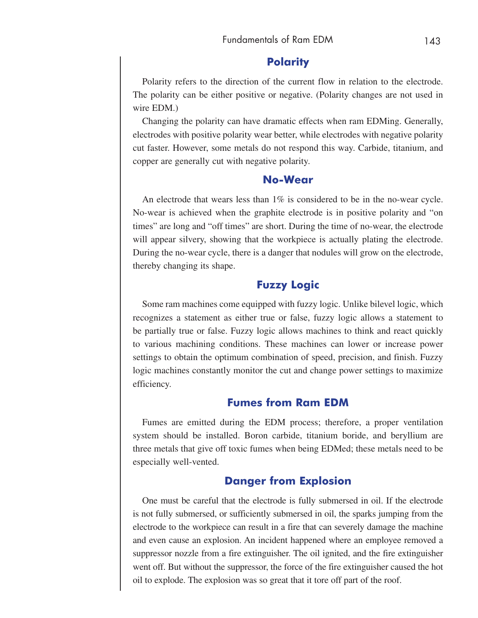#### **Polarity**

Polarity refers to the direction of the current flow in relation to the electrode. The polarity can be either positive or negative. (Polarity changes are not used in wire EDM.)

Changing the polarity can have dramatic effects when ram EDMing. Generally, electrodes with positive polarity wear better, while electrodes with negative polarity cut faster. However, some metals do not respond this way. Carbide, titanium, and copper are generally cut with negative polarity.

#### **No-Wear**

An electrode that wears less than  $1\%$  is considered to be in the no-wear cycle. No-wear is achieved when the graphite electrode is in positive polarity and "on times" are long and "off times" are short. During the time of no-wear, the electrode will appear silvery, showing that the workpiece is actually plating the electrode. During the no-wear cycle, there is a danger that nodules will grow on the electrode, thereby changing its shape.

# **Fuzzy Logic**

Some ram machines come equipped with fuzzy logic. Unlike bilevel logic, which recognizes a statement as either true or false, fuzzy logic allows a statement to be partially true or false. Fuzzy logic allows machines to think and react quickly to various machining conditions. These machines can lower or increase power settings to obtain the optimum combination of speed, precision, and finish. Fuzzy logic machines constantly monitor the cut and change power settings to maximize efficiency.

### **Fumes from Ram EDM**

Fumes are emitted during the EDM process; therefore, a proper ventilation system should be installed. Boron carbide, titanium boride, and beryllium are three metals that give off toxic fumes when being EDMed; these metals need to be especially well-vented.

### **Danger from Explosion**

One must be careful that the electrode is fully submersed in oil. If the electrode is not fully submersed, or sufficiently submersed in oil, the sparks jumping from the electrode to the workpiece can result in a fire that can severely damage the machine and even cause an explosion. An incident happened where an employee removed a suppressor nozzle from a fire extinguisher. The oil ignited, and the fire extinguisher went off. But without the suppressor, the force of the fire extinguisher caused the hot oil to explode. The explosion was so great that it tore off part of the roof.